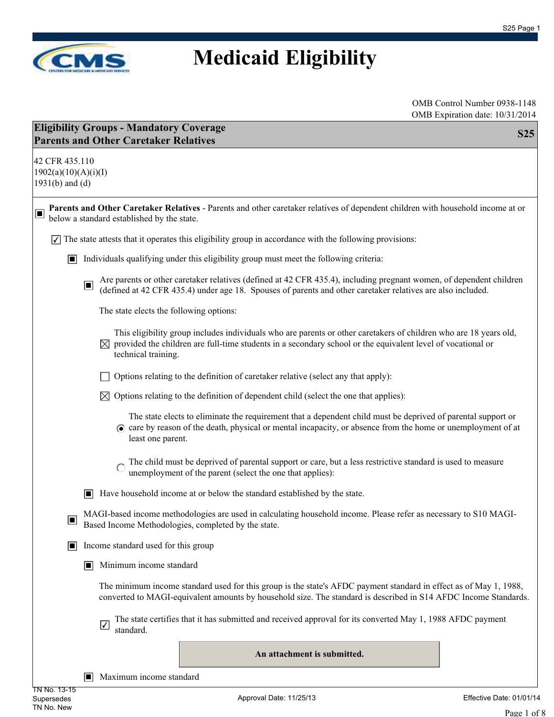

OMB Control Number 0938-1148 OMB Expiration date: 10/31/2014

|                                                             |                                   | <b>Eligibility Groups - Mandatory Coverage</b><br><b>Parents and Other Caretaker Relatives</b>                                                                                                                                                               | <b>S25</b>               |  |  |  |  |  |  |
|-------------------------------------------------------------|-----------------------------------|--------------------------------------------------------------------------------------------------------------------------------------------------------------------------------------------------------------------------------------------------------------|--------------------------|--|--|--|--|--|--|
| 42 CFR 435.110<br>1902(a)(10)(A)(i)(I)<br>$1931(b)$ and (d) |                                   |                                                                                                                                                                                                                                                              |                          |  |  |  |  |  |  |
| $\Box$                                                      |                                   | Parents and Other Caretaker Relatives - Parents and other caretaker relatives of dependent children with household income at or<br>below a standard established by the state.                                                                                |                          |  |  |  |  |  |  |
|                                                             |                                   | $\sqrt{\sqrt{\ }}$ The state attests that it operates this eligibility group in accordance with the following provisions:                                                                                                                                    |                          |  |  |  |  |  |  |
| IПI                                                         |                                   | Individuals qualifying under this eligibility group must meet the following criteria:                                                                                                                                                                        |                          |  |  |  |  |  |  |
|                                                             | $\Box$                            | Are parents or other caretaker relatives (defined at 42 CFR 435.4), including pregnant women, of dependent children<br>(defined at 42 CFR 435.4) under age 18. Spouses of parents and other caretaker relatives are also included.                           |                          |  |  |  |  |  |  |
|                                                             |                                   | The state elects the following options:                                                                                                                                                                                                                      |                          |  |  |  |  |  |  |
|                                                             |                                   | This eligibility group includes individuals who are parents or other caretakers of children who are 18 years old,<br>provided the children are full-time students in a secondary school or the equivalent level of vocational or<br>M<br>technical training. |                          |  |  |  |  |  |  |
|                                                             |                                   | Options relating to the definition of caretaker relative (select any that apply):                                                                                                                                                                            |                          |  |  |  |  |  |  |
|                                                             |                                   | Options relating to the definition of dependent child (select the one that applies):<br>IХI                                                                                                                                                                  |                          |  |  |  |  |  |  |
|                                                             |                                   | The state elects to eliminate the requirement that a dependent child must be deprived of parental support or<br>• care by reason of the death, physical or mental incapacity, or absence from the home or unemployment of at<br>least one parent.            |                          |  |  |  |  |  |  |
|                                                             |                                   | The child must be deprived of parental support or care, but a less restrictive standard is used to measure<br>unemployment of the parent (select the one that applies):                                                                                      |                          |  |  |  |  |  |  |
|                                                             | $\blacksquare$                    | Have household income at or below the standard established by the state.                                                                                                                                                                                     |                          |  |  |  |  |  |  |
| IЦ                                                          |                                   | MAGI-based income methodologies are used in calculating household income. Please refer as necessary to S10 MAGI-<br>Based Income Methodologies, completed by the state.                                                                                      |                          |  |  |  |  |  |  |
|                                                             |                                   | Income standard used for this group                                                                                                                                                                                                                          |                          |  |  |  |  |  |  |
|                                                             | Minimum income standard<br>$\Box$ |                                                                                                                                                                                                                                                              |                          |  |  |  |  |  |  |
|                                                             |                                   | The minimum income standard used for this group is the state's AFDC payment standard in effect as of May 1, 1988,<br>converted to MAGI-equivalent amounts by household size. The standard is described in S14 AFDC Income Standards.                         |                          |  |  |  |  |  |  |
|                                                             |                                   | The state certifies that it has submitted and received approval for its converted May 1, 1988 AFDC payment<br>$\sqrt{}$<br>standard.                                                                                                                         |                          |  |  |  |  |  |  |
|                                                             |                                   | An attachment is submitted.                                                                                                                                                                                                                                  |                          |  |  |  |  |  |  |
|                                                             | П                                 | Maximum income standard                                                                                                                                                                                                                                      |                          |  |  |  |  |  |  |
| TN No. 13-15<br>Supersedes                                  |                                   | Approval Date: 11/25/13                                                                                                                                                                                                                                      | Effective Date: 01/01/14 |  |  |  |  |  |  |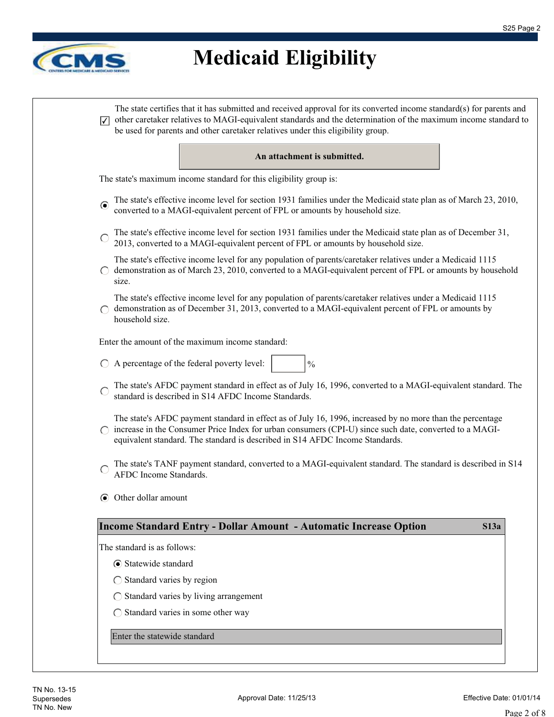

The state certifies that it has submitted and received approval for its converted income standard(s) for parents and  $\bar{z}$  other caretaker relatives to MAGI-equivalent standards and the determination of the maximum income standard to be used for parents and other caretaker relatives under this eligibility group.

#### **An attachment is submitted.**

The state's maximum income standard for this eligibility group is:

- The state's effective income level for section 1931 families under the Medicaid state plan as of March 23, 2010,  $\odot$ converted to a MAGI-equivalent percent of FPL or amounts by household size.
- The state's effective income level for section 1931 families under the Medicaid state plan as of December 31,  $\subset$ 2013, converted to a MAGI-equivalent percent of FPL or amounts by household size.

The state's effective income level for any population of parents/caretaker relatives under a Medicaid 1115  $\bigcirc$  demonstration as of March 23, 2010, converted to a MAGI-equivalent percent of FPL or amounts by household size.

The state's effective income level for any population of parents/caretaker relatives under a Medicaid 1115

 $\bigcirc$  demonstration as of December 31, 2013, converted to a MAGI-equivalent percent of FPL or amounts by household size.

Enter the amount of the maximum income standard:

- $\bigcirc$  A percentage of the federal poverty level:  $\frac{0}{0}$
- The state's AFDC payment standard in effect as of July 16, 1996, converted to a MAGI-equivalent standard. The  $\subset$ standard is described in S14 AFDC Income Standards.

The state's AFDC payment standard in effect as of July 16, 1996, increased by no more than the percentage increase in the Consumer Price Index for urban consumers (CPI-U) since such date, converted to a MAGIequivalent standard. The standard is described in S14 AFDC Income Standards.

The state's TANF payment standard, converted to a MAGI-equivalent standard. The standard is described in S14  $\subset$ AFDC Income Standards.

Other dollar amount

#### **Income Standard Entry - Dollar Amount - Automatic Increase Option S13a**

The standard is as follows:

- Statewide standard
- $\bigcirc$  Standard varies by region
- $\bigcirc$  Standard varies by living arrangement
- $\bigcirc$  Standard varies in some other way

#### Enter the statewide standard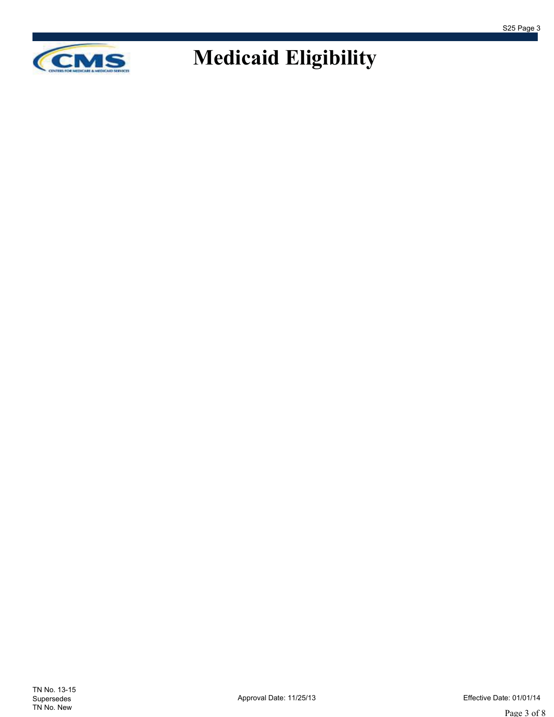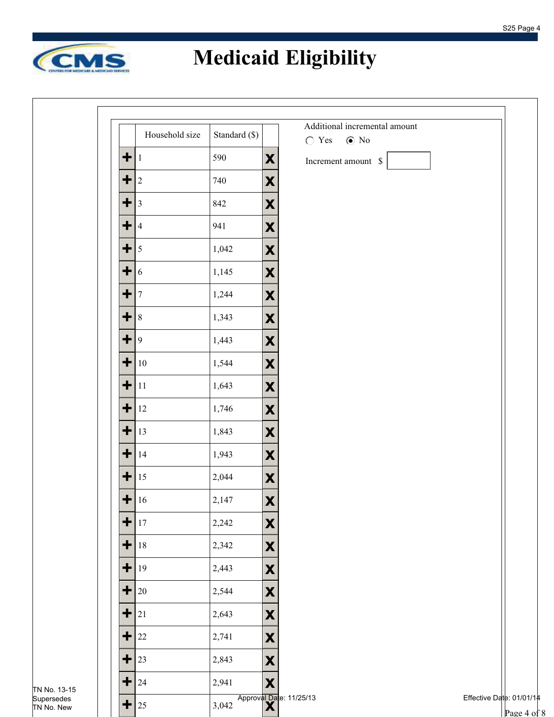7

 $\overline{\phantom{a}}$ 



|                          |                      | Household size   | Standard (\$) |                           | Additional incremental amount<br>$\bigcirc$ Yes $\bigcirc$ No |             |
|--------------------------|----------------------|------------------|---------------|---------------------------|---------------------------------------------------------------|-------------|
|                          | $\ddot{}$            | 1                | 590           | X                         | Increment amount \$                                           |             |
|                          | $\div$               | $\boldsymbol{2}$ | 740           | X                         |                                                               |             |
|                          | $\ddag$              | $\mathfrak{Z}$   | 842           | X                         |                                                               |             |
|                          | $\ddot{\phantom{1}}$ | $\overline{4}$   | 941           | X                         |                                                               |             |
|                          | $\ddot{\phantom{1}}$ | $\sqrt{5}$       | 1,042         | X                         |                                                               |             |
|                          | $\ddot{}$            | $\vert 6 \vert$  | 1,145         | $\boldsymbol{\mathsf{X}}$ |                                                               |             |
|                          | $\div$               | $\tau$           | 1,244         | $\boldsymbol{\mathsf{X}}$ |                                                               |             |
|                          | $\div$               | $\,8\,$          | 1,343         | $\boldsymbol{\mathsf{X}}$ |                                                               |             |
|                          | $\div$               | $\boldsymbol{9}$ | 1,443         | X                         |                                                               |             |
|                          | $\ddot{}$            | $10\,$           | 1,544         | $\boldsymbol{\mathsf{X}}$ |                                                               |             |
|                          | $\ddot{}$            | 11               | 1,643         | X                         |                                                               |             |
|                          | +                    | $12\,$           | 1,746         | X                         |                                                               |             |
|                          | $\pm  $              | 13               | 1,843         | X                         |                                                               |             |
|                          | $\ddag$              | 14               | 1,943         | X                         |                                                               |             |
|                          | $\pm$                | 15               | 2,044         | $\boldsymbol{\mathsf{X}}$ |                                                               |             |
|                          | $\ddot{}$            | 16               | 2,147         | $\boldsymbol{\mathsf{X}}$ |                                                               |             |
|                          | $\pm  $              | 17               | 2,242         | $\boldsymbol{\mathsf{X}}$ |                                                               |             |
|                          | $\boldsymbol{+}$     | $18\,$           | 2,342         | $\boldsymbol{\mathsf{X}}$ |                                                               |             |
|                          | $\ddag$              | 19               | 2,443         | X                         |                                                               |             |
|                          | $\ddot{}$            | $20\,$           | 2,544         | $\boldsymbol{\mathsf{X}}$ |                                                               |             |
|                          | $\ddot{\phantom{1}}$ | 21               | 2,643         | $\boldsymbol{\mathsf{X}}$ |                                                               |             |
|                          | $\ddot{}$            | 22               | 2,741         | $\boldsymbol{\mathsf{X}}$ |                                                               |             |
|                          | $\ddot{\phantom{1}}$ | 23               | 2,843         | X                         |                                                               |             |
| TN No. 13-15             | $\div$               | $24\,$           | 2,941         | X                         |                                                               |             |
| Supersedes<br>TN No. New | $\pm  $              | $25\,$           | 3,042         |                           | Approval Date: 11/25/13<br>Effective Date: 01/01/14           | Page 4 of 8 |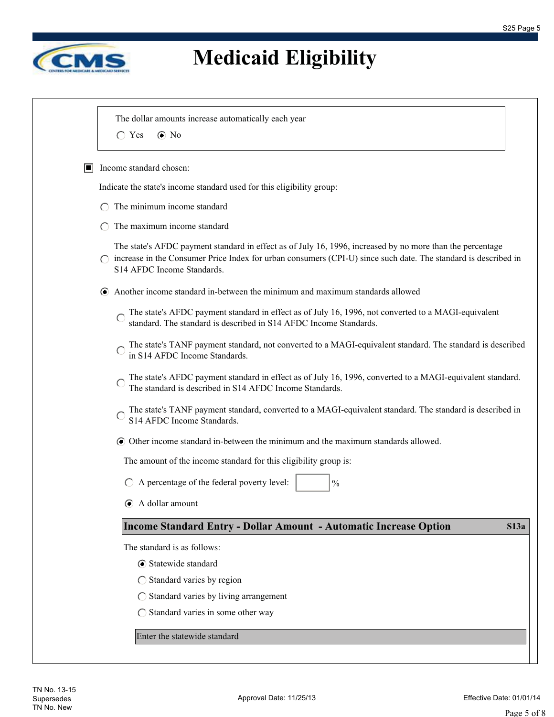

|   | The dollar amounts increase automatically each year<br>$\odot$ No<br>$\bigcirc$ Yes                                                                                                                                                                       |  |  |  |  |  |  |  |  |
|---|-----------------------------------------------------------------------------------------------------------------------------------------------------------------------------------------------------------------------------------------------------------|--|--|--|--|--|--|--|--|
| ■ | Income standard chosen:                                                                                                                                                                                                                                   |  |  |  |  |  |  |  |  |
|   | Indicate the state's income standard used for this eligibility group:                                                                                                                                                                                     |  |  |  |  |  |  |  |  |
|   | The minimum income standard                                                                                                                                                                                                                               |  |  |  |  |  |  |  |  |
|   | The maximum income standard                                                                                                                                                                                                                               |  |  |  |  |  |  |  |  |
|   | The state's AFDC payment standard in effect as of July 16, 1996, increased by no more than the percentage<br>increase in the Consumer Price Index for urban consumers (CPI-U) since such date. The standard is described in<br>S14 AFDC Income Standards. |  |  |  |  |  |  |  |  |
|   | • Another income standard in-between the minimum and maximum standards allowed                                                                                                                                                                            |  |  |  |  |  |  |  |  |
|   | The state's AFDC payment standard in effect as of July 16, 1996, not converted to a MAGI-equivalent<br>standard. The standard is described in S14 AFDC Income Standards.                                                                                  |  |  |  |  |  |  |  |  |
|   | The state's TANF payment standard, not converted to a MAGI-equivalent standard. The standard is described<br>in S14 AFDC Income Standards.                                                                                                                |  |  |  |  |  |  |  |  |
|   | The state's AFDC payment standard in effect as of July 16, 1996, converted to a MAGI-equivalent standard.<br>The standard is described in S14 AFDC Income Standards.                                                                                      |  |  |  |  |  |  |  |  |
|   | The state's TANF payment standard, converted to a MAGI-equivalent standard. The standard is described in<br>S14 AFDC Income Standards.                                                                                                                    |  |  |  |  |  |  |  |  |
|   | • Other income standard in-between the minimum and the maximum standards allowed.                                                                                                                                                                         |  |  |  |  |  |  |  |  |
|   | The amount of the income standard for this eligibility group is:                                                                                                                                                                                          |  |  |  |  |  |  |  |  |
|   | A percentage of the federal poverty level:<br>$\frac{0}{0}$                                                                                                                                                                                               |  |  |  |  |  |  |  |  |
|   | A dollar amount<br>$\left( \bullet \right)$                                                                                                                                                                                                               |  |  |  |  |  |  |  |  |
|   | Income Standard Entry - Dollar Amount - Automatic Increase Option<br>S13a                                                                                                                                                                                 |  |  |  |  |  |  |  |  |
|   | The standard is as follows:                                                                                                                                                                                                                               |  |  |  |  |  |  |  |  |
|   | <b>●</b> Statewide standard                                                                                                                                                                                                                               |  |  |  |  |  |  |  |  |
|   | $\bigcirc$ Standard varies by region                                                                                                                                                                                                                      |  |  |  |  |  |  |  |  |
|   | $\bigcirc$ Standard varies by living arrangement                                                                                                                                                                                                          |  |  |  |  |  |  |  |  |
|   | ◯ Standard varies in some other way                                                                                                                                                                                                                       |  |  |  |  |  |  |  |  |
|   | Enter the statewide standard                                                                                                                                                                                                                              |  |  |  |  |  |  |  |  |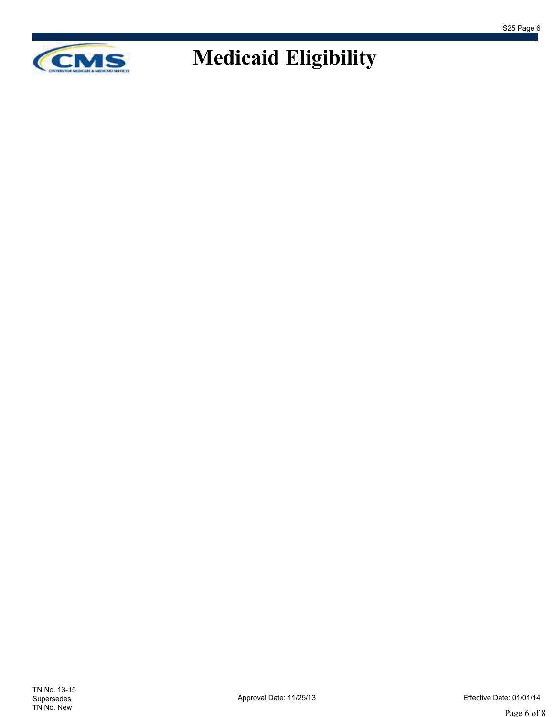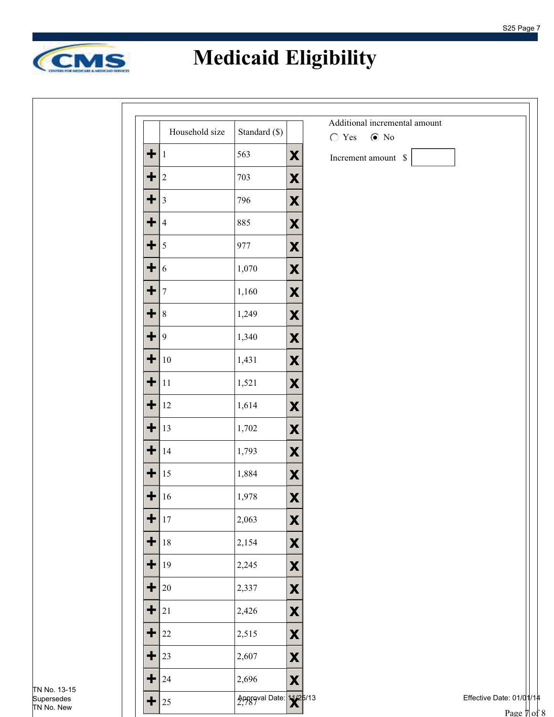

|                                         | Household size   | Standard (\$)          |   |
|-----------------------------------------|------------------|------------------------|---|
| $\div$<br>1                             |                  | 563                    | X |
| $\ddot{\phantom{1}}$<br>$\sqrt{2}$      |                  | 703                    | X |
| $\ddot{\phantom{1}}$<br>$\vert 3 \vert$ |                  | 796                    | X |
| $\ddot{\phantom{1}}$<br>$\overline{4}$  |                  | 885                    | X |
| $\ddot{}$<br>$\overline{\mathbf{5}}$    |                  | 977                    | X |
| ╈                                       | $\sqrt{6}$       | 1,070                  | X |
| $\div$                                  | $\boldsymbol{7}$ | 1,160                  | X |
| ٠<br>$\,8\,$                            |                  | 1,249                  | X |
| ٠<br>$\overline{9}$                     |                  | 1,340                  | X |
| $\div$                                  | $10\,$           | 1,431                  | X |
| $\div$                                  | $11\,$           | 1,521                  | X |
| $\div$                                  | 12               | 1,614                  | X |
| $\div$                                  | 13               | 1,702                  | X |
| $\div$                                  | 14               | 1,793                  | X |
| $\div$                                  | 15               | 1,884                  | X |
| ╈                                       | 16               | 1,978                  | X |
| $\ddag$                                 | $17\,$           | 2,063                  | X |
| $\ddot{\phantom{1}}$                    | 18               | 2,154                  | X |
| ٠                                       | 19               | 2,245                  | X |
| $\div$                                  | 20               | 2,337                  | X |
| $\div$                                  | $21\,$           | 2,426                  | X |
| $\div$                                  | $22\,$           | 2,515                  | X |
| $\div$                                  | $23\,$           | 2,607                  | X |
| ٠                                       | 24               | 2,696                  | X |
| $+$ 25                                  |                  | Approval Date: 1225/13 |   |

TN No. 13-15 Supersedes TN No. New